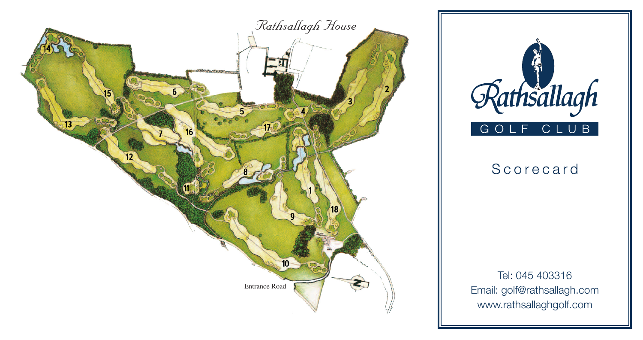



# Scorecard

Tel: 045 403316 Email: golf@rathsallagh.com www.rathsallaghgolf.com